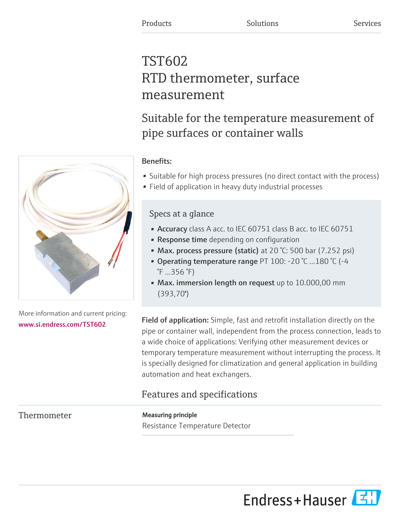# TST602 RTD thermometer, surface measurement

Suitable for the temperature measurement of pipe surfaces or container walls



- Suitable for high process pressures (no direct contact with the process)
- Field of application in heavy duty industrial processes

## Specs at a glance

- Accuracy class A acc. to IEC 60751 class B acc. to IEC 60751
- **Response time** depending on configuration
- Max. process pressure (static) at 20 °C: 500 bar (7.252 psi)
- Operating temperature range PT 100: -20 °C ...180 °C (-4 °F ...356 °F)
- Max. immersion length on request up to 10.000,00 mm (393,70'')

Field of application: Simple, fast and retrofit installation directly on the pipe or container wall, independent from the process connection, leads to a wide choice of applications: Verifying other measurement devices or temporary temperature measurement without interrupting the process. It is specially designed for climatization and general application in building automation and heat exchangers.

## Features and specifications

Thermometer **Measuring principle** 

Resistance Temperature Detector



More information and current pricing: [www.si.endress.com/TST602](https://www.si.endress.com/TST602)